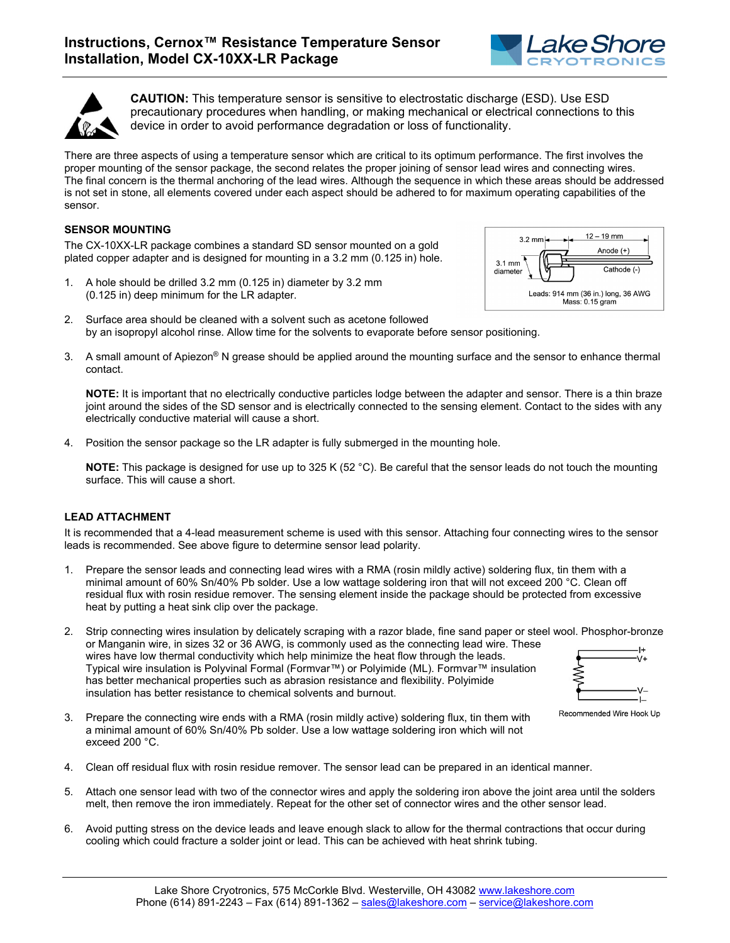



**CAUTION:** This temperature sensor is sensitive to electrostatic discharge (ESD). Use ESD precautionary procedures when handling, or making mechanical or electrical connections to this device in order to avoid performance degradation or loss of functionality.

There are three aspects of using a temperature sensor which are critical to its optimum performance. The first involves the proper mounting of the sensor package, the second relates the proper joining of sensor lead wires and connecting wires. The final concern is the thermal anchoring of the lead wires. Although the sequence in which these areas should be addressed is not set in stone, all elements covered under each aspect should be adhered to for maximum operating capabilities of the sensor.

## **SENSOR MOUNTING**

The CX-10XX-LR package combines a standard SD sensor mounted on a gold plated copper adapter and is designed for mounting in a 3.2 mm (0.125 in) hole.

- 1. A hole should be drilled 3.2 mm (0.125 in) diameter by 3.2 mm (0.125 in) deep minimum for the LR adapter.
- 2. Surface area should be cleaned with a solvent such as acetone followed by an isopropyl alcohol rinse. Allow time for the solvents to evaporate before sensor positioning.
- 3. A small amount of Apiezon® N grease should be applied around the mounting surface and the sensor to enhance thermal contact.

**NOTE:** It is important that no electrically conductive particles lodge between the adapter and sensor. There is a thin braze joint around the sides of the SD sensor and is electrically connected to the sensing element. Contact to the sides with any electrically conductive material will cause a short.

4. Position the sensor package so the LR adapter is fully submerged in the mounting hole.

**NOTE:** This package is designed for use up to 325 K (52 °C). Be careful that the sensor leads do not touch the mounting surface. This will cause a short.

## **LEAD ATTACHMENT**

It is recommended that a 4-lead measurement scheme is used with this sensor. Attaching four connecting wires to the sensor leads is recommended. See above figure to determine sensor lead polarity.

- 1. Prepare the sensor leads and connecting lead wires with a RMA (rosin mildly active) soldering flux, tin them with a minimal amount of 60% Sn/40% Pb solder. Use a low wattage soldering iron that will not exceed 200 °C. Clean off residual flux with rosin residue remover. The sensing element inside the package should be protected from excessive heat by putting a heat sink clip over the package.
- 2. Strip connecting wires insulation by delicately scraping with a razor blade, fine sand paper or steel wool. Phosphor-bronze or Manganin wire, in sizes 32 or 36 AWG, is commonly used as the connecting lead wire. These wires have low thermal conductivity which help minimize the heat flow through the leads. ٠٧+ Typical wire insulation is Polyvinal Formal (Formvar™) or Polyimide (ML). Formvar™ insulation has better mechanical properties such as abrasion resistance and flexibility. Polyimide insulation has better resistance to chemical solvents and burnout.
- 3. Prepare the connecting wire ends with a RMA (rosin mildly active) soldering flux, tin them with a minimal amount of 60% Sn/40% Pb solder. Use a low wattage soldering iron which will not exceed 200 °C.





- 4. Clean off residual flux with rosin residue remover. The sensor lead can be prepared in an identical manner.
- 5. Attach one sensor lead with two of the connector wires and apply the soldering iron above the joint area until the solders melt, then remove the iron immediately. Repeat for the other set of connector wires and the other sensor lead.
- 6. Avoid putting stress on the device leads and leave enough slack to allow for the thermal contractions that occur during cooling which could fracture a solder joint or lead. This can be achieved with heat shrink tubing.